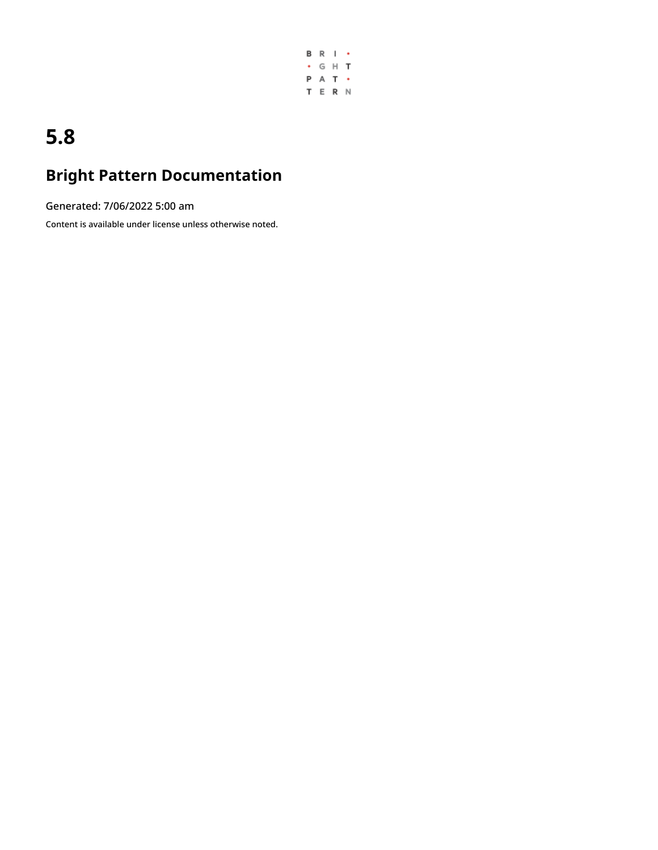

## **5.8**

## **Bright Pattern Documentation**

Generated: 7/06/2022 5:00 am

Content is available under license unless otherwise noted.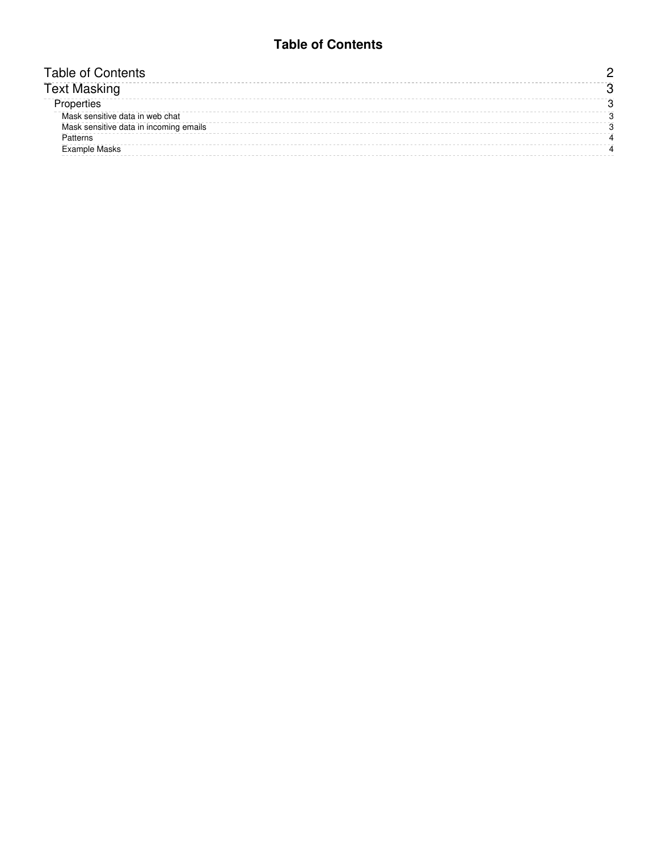### **Table of Contents**

<span id="page-1-0"></span>

| . able of Contents .                   |  |
|----------------------------------------|--|
| rext Masking                           |  |
|                                        |  |
| Mask sensitive data in web chat        |  |
| Mask sensitive data in incoming emails |  |
| Patterns                               |  |
| <b>Example Masks</b>                   |  |
|                                        |  |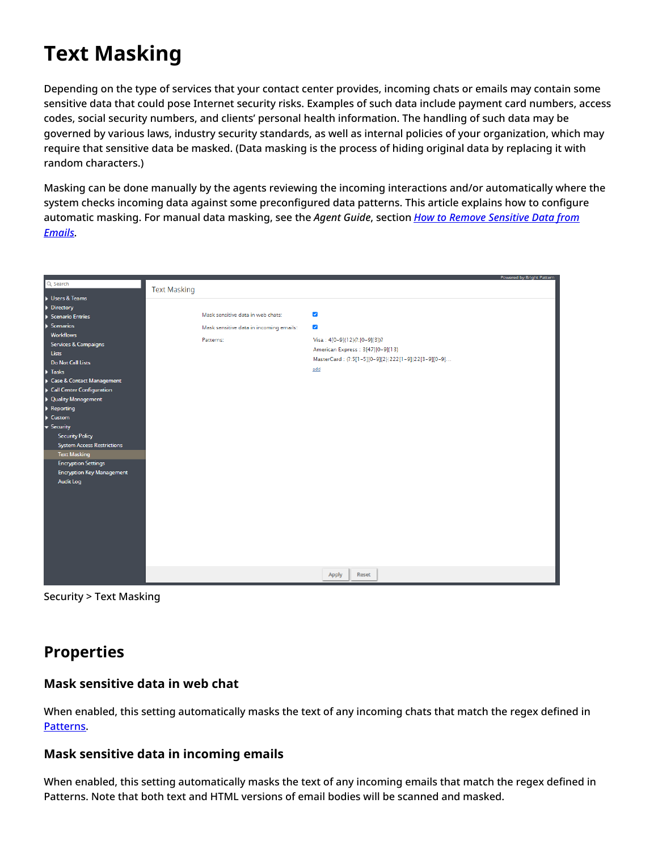# <span id="page-2-0"></span>**Text Masking**

Depending on the type of services that your contact center provides, incoming chats or emails may contain some sensitive data that could pose Internet security risks. Examples of such data include payment card numbers, access codes, social security numbers, and clients' personal health information. The handling of such data may be governed by various laws, industry security standards, as well as internal policies of your organization, which may require that sensitive data be masked. (Data masking is the process of hiding original data by replacing it with random characters.)

Masking can be done manually by the agents reviewing the incoming interactions and/or automatically where the system checks incoming data against some preconfigured data patterns. This article explains how to configure [automatic](https://help.brightpattern.com/5.8:Contact-center-administrator-guide/Security/TextMaskinginChat/?action=html-localimages-export#topic_agent-guide.2Ftutorials.2Fcases.2Fhowtomasksensitivedata) masking. For manual data masking, see the *Agent Guide*, section *How to Remove Sensitive Data from Emails*.

|                                   |                     |                                         |                                                     | Powered by Bright Pattern |
|-----------------------------------|---------------------|-----------------------------------------|-----------------------------------------------------|---------------------------|
| Q Search                          | <b>Text Masking</b> |                                         |                                                     |                           |
| Users & Teams                     |                     |                                         |                                                     |                           |
| Directory                         |                     |                                         |                                                     |                           |
| Scenario Entries                  |                     | Mask sensitive data in web chats:       | ✔                                                   |                           |
| $\blacktriangleright$ Scenarios   |                     | Mask sensitive data in incoming emails: | $\blacktriangledown$                                |                           |
| <b>Workflows</b>                  |                     |                                         |                                                     |                           |
| Services & Campaigns              |                     | Patterns:                               | Visa: 4[0-9]{12}(?:[0-9]{3})?                       |                           |
| Lists                             |                     |                                         | American Express: 3[47][0-9]{13}                    |                           |
| <b>Do Not Call Lists</b>          |                     |                                         | MasterCard: (?:5[1-5][0-9]{2} 222[1-9] 22[3-9][0-9] |                           |
| $\blacktriangleright$ Tasks       |                     |                                         | add                                                 |                           |
| Case & Contact Management         |                     |                                         |                                                     |                           |
| Call Center Configuration         |                     |                                         |                                                     |                           |
| <b>D</b> Quality Management       |                     |                                         |                                                     |                           |
| Reporting                         |                     |                                         |                                                     |                           |
| $\blacktriangleright$ Custom      |                     |                                         |                                                     |                           |
| ▼ Security                        |                     |                                         |                                                     |                           |
| <b>Security Policy</b>            |                     |                                         |                                                     |                           |
| <b>System Access Restrictions</b> |                     |                                         |                                                     |                           |
| <b>Text Masking</b>               |                     |                                         |                                                     |                           |
| <b>Encryption Settings</b>        |                     |                                         |                                                     |                           |
| <b>Encryption Key Management</b>  |                     |                                         |                                                     |                           |
| Audit Log                         |                     |                                         |                                                     |                           |
|                                   |                     |                                         |                                                     |                           |
|                                   |                     |                                         |                                                     |                           |
|                                   |                     |                                         |                                                     |                           |
|                                   |                     |                                         |                                                     |                           |
|                                   |                     |                                         |                                                     |                           |
|                                   |                     |                                         |                                                     |                           |
|                                   |                     |                                         |                                                     |                           |
|                                   |                     |                                         |                                                     |                           |
|                                   |                     |                                         |                                                     |                           |
|                                   |                     |                                         | Apply<br>Reset                                      |                           |
|                                   |                     |                                         |                                                     |                           |

Security > Text Masking

### <span id="page-2-1"></span>**Properties**

#### <span id="page-2-2"></span>**Mask sensitive data in web chat**

When enabled, this setting automatically masks the text of any incoming chats that match the regex defined in [Patterns.](https://help.brightpattern.com/5.8:Contact-center-administrator-guide/Security/TextMaskinginChat/?action=html-localimages-export#Patterns)

#### <span id="page-2-3"></span>**Mask sensitive data in incoming emails**

When enabled, this setting automatically masks the text of any incoming emails that match the regex defined in Patterns. Note that both text and HTML versions of email bodies will be scanned and masked.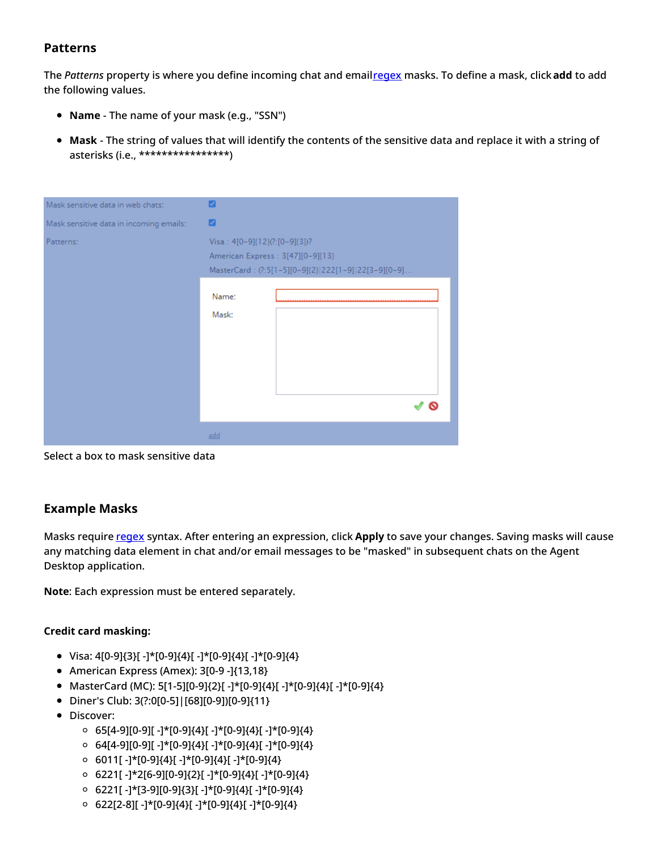#### <span id="page-3-0"></span>**Patterns**

The *Patterns* property is where you define incoming chat and email[regex](https://en.wikipedia.org/wiki/Regular_expression) masks. To define a mask, click**add** to add the following values.

- **Name** The name of your mask (e.g., "SSN")
- **Mask** The string of values that will identify the contents of the sensitive data and replace it with a string of asterisks (i.e., \*\*\*\*\*\*\*\*\*\*\*\*\*\*\*\*)

| Mask sensitive data in web chats:       | Ø                                                                                                                         |  |  |
|-----------------------------------------|---------------------------------------------------------------------------------------------------------------------------|--|--|
| Mask sensitive data in incoming emails: | ø                                                                                                                         |  |  |
| Patterns:                               | Visa: 4[0-9]{12}(?:[0-9]{3})?<br>American Express : 3[47][0-9]{13}<br>MasterCard: (?:5[1-5][0-9]{2} 222[1-9] 22[3-9][0-9] |  |  |
|                                         | Name:<br>Mask:                                                                                                            |  |  |
|                                         | add                                                                                                                       |  |  |

Select a box to mask sensitive data

#### <span id="page-3-1"></span>**Example Masks**

Masks require [regex](https://en.wikipedia.org/wiki/Regular_expression) syntax. After entering an expression, click Apply to save your changes. Saving masks will cause any matching data element in chat and/or email messages to be "masked" in subsequent chats on the Agent Desktop application.

**Note**: Each expression must be entered separately.

#### **Credit card masking:**

- Visa: 4[0-9]{3}[ -]\*[0-9]{4}[ -]\*[0-9]{4}[ -]\*[0-9]{4}
- American Express (Amex): 3[0-9 -]{13,18}
- MasterCard (MC): 5[1-5][0-9]{2}[ -]\*[0-9]{4}[ -]\*[0-9]{4}[ -]\*[0-9]{4}
- Diner's Club: 3(?:0[0-5]|[68][0-9])[0-9]{11}
- Discover:
	- $\circ$  65[4-9][0-9][ -]\*[0-9]{4}[ -]\*[0-9]{4}[ -]\*[0-9]{4}
	- $\circ$  64[4-9][0-9][ -]\*[0-9]{4}[ -]\*[0-9]{4}[ -]\*[0-9]{4}
	- $\circ$  6011[ -]\*[0-9]{4}[ -]\*[0-9]{4}[ -]\*[0-9]{4}
	- $\circ$  6221[ -]\*2[6-9][0-9]{2}[ -]\*[0-9]{4}[ -]\*[0-9]{4}
	- 6221[ -]\*[3-9][0-9]{3}[ -]\*[0-9]{4}[ -]\*[0-9]{4}
	- 622[2-8][ -]\*[0-9]{4}[ -]\*[0-9]{4}[ -]\*[0-9]{4}